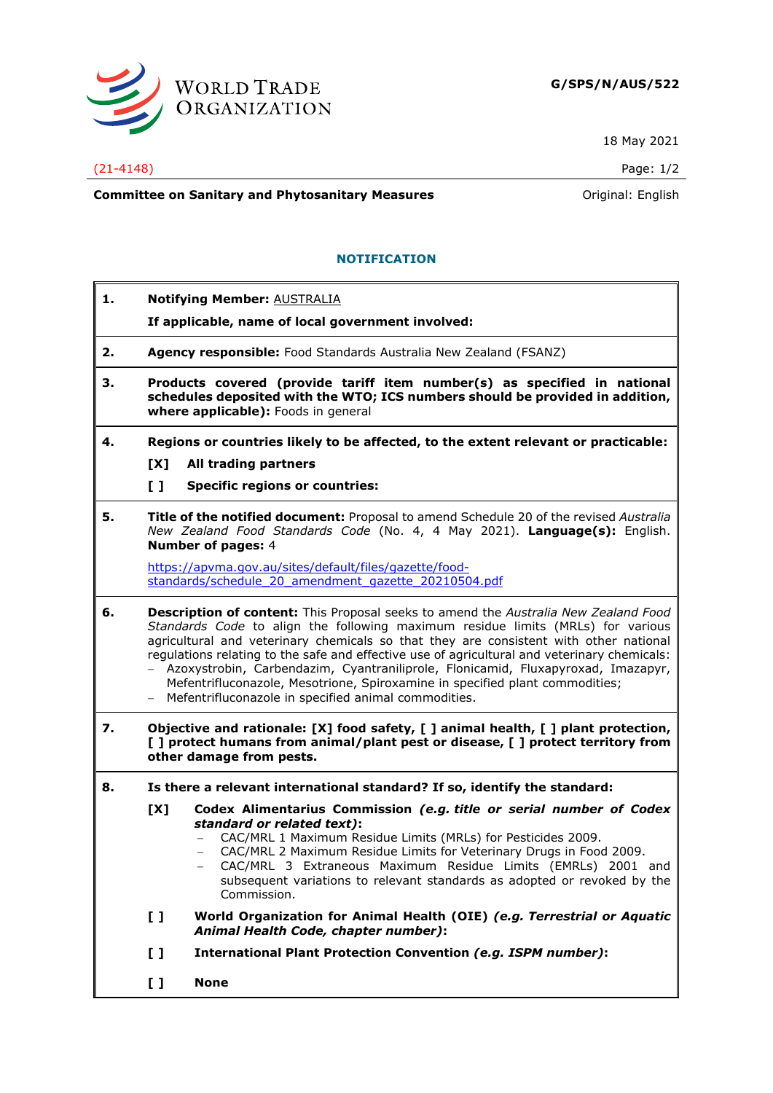

18 May 2021

### (21-4148) Page: 1/2

**Committee on Sanitary and Phytosanitary Measures Committee on Sanitary and Phytosanitary Measures Committee And American** 

# **NOTIFICATION**

- **1. Notifying Member:** AUSTRALIA **If applicable, name of local government involved: 2. Agency responsible:** Food Standards Australia New Zealand (FSANZ) **3. Products covered (provide tariff item number(s) as specified in national**
- **schedules deposited with the WTO; ICS numbers should be provided in addition, where applicable):** Foods in general
- **4. Regions or countries likely to be affected, to the extent relevant or practicable: [X] All trading partners**
	-
	- **[ ] Specific regions or countries:**
- **5. Title of the notified document:** Proposal to amend Schedule 20 of the revised *Australia New Zealand Food Standards Code* (No. 4, 4 May 2021). **Language(s):** English. **Number of pages:** 4

[https://apvma.gov.au/sites/default/files/gazette/food](https://apvma.gov.au/sites/default/files/gazette/food-standards/schedule_20_amendment_gazette_20210504.pdf)[standards/schedule\\_20\\_amendment\\_gazette\\_20210504.pdf](https://apvma.gov.au/sites/default/files/gazette/food-standards/schedule_20_amendment_gazette_20210504.pdf)

- **6. Description of content:** This Proposal seeks to amend the *Australia New Zealand Food Standards Code* to align the following maximum residue limits (MRLs) for various agricultural and veterinary chemicals so that they are consistent with other national regulations relating to the safe and effective use of agricultural and veterinary chemicals: − Azoxystrobin, Carbendazim, Cyantraniliprole, Flonicamid, Fluxapyroxad, Imazapyr,
	- Mefentrifluconazole, Mesotrione, Spiroxamine in specified plant commodities;
	- − Mefentrifluconazole in specified animal commodities.
- **7. Objective and rationale: [X] food safety, [ ] animal health, [ ] plant protection, [ ] protect humans from animal/plant pest or disease, [ ] protect territory from other damage from pests.**
- **8. Is there a relevant international standard? If so, identify the standard:**
	- **[X] Codex Alimentarius Commission** *(e.g. title or serial number of Codex standard or related text)***:**
		- − CAC/MRL 1 Maximum Residue Limits (MRLs) for Pesticides 2009.
		- − CAC/MRL 2 Maximum Residue Limits for Veterinary Drugs in Food 2009.
		- − CAC/MRL 3 Extraneous Maximum Residue Limits (EMRLs) 2001 and subsequent variations to relevant standards as adopted or revoked by the Commission.
	- **[ ] World Organization for Animal Health (OIE)** *(e.g. Terrestrial or Aquatic Animal Health Code, chapter number)***:**
	- **[ ] International Plant Protection Convention** *(e.g. ISPM number)***:**
	- **[ ] None**